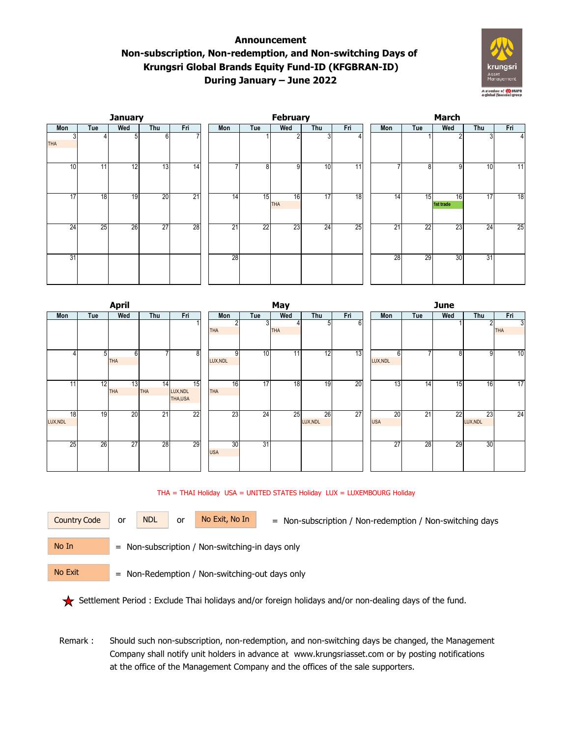## **Announcement Non-subscription, Non-redemption, and Non-switching Days of Krungsri Global Brands Equity Fund-ID (KFGBRAN-ID) During January – June 2022**



|                 |     | <b>January</b> |                 |                 |     |     | <b>February</b>  |                 |                 |                 | <b>March</b> |                 |     |                 |  |  |  |
|-----------------|-----|----------------|-----------------|-----------------|-----|-----|------------------|-----------------|-----------------|-----------------|--------------|-----------------|-----|-----------------|--|--|--|
| Mon             | Tue | Wed            | Thu             | Fri             | Mon | Tue | Wed              | Thu             | Fri             | Mon             | Tue          | Wed             | Thu | Fri             |  |  |  |
| 3<br><b>THA</b> |     | 5              | 6               |                 |     |     | c                | 31              |                 |                 |              | $\overline{2}$  | 3   |                 |  |  |  |
| 10 <sup>1</sup> | 11  | 12             | 13              | $\overline{14}$ |     | 8   | 9                | 10              | $\overline{11}$ |                 | 8            | 9               | 10  | $\overline{11}$ |  |  |  |
| 17              | 18  | 19             | 20              | 21              | 14  | 15  | 16<br><b>THA</b> | 17              | 18              | $1\overline{4}$ | 15           | 16<br>1st trade | 17  | 18              |  |  |  |
| 24              | 25  | 26             | $\overline{27}$ | 28              | 21  | 22  | 23               | $\overline{24}$ | 25              | 21              | 22           | 23              | 24  | 25              |  |  |  |
| 31              |     |                |                 |                 | 28  |     |                  |                 |                 | 28              | 29           | 30              | 31  |                 |  |  |  |

|                             |                 | <b>April</b>     |           |                                        | May              |         |            |                |        |  | <b>June</b>      |     |     |                |                 |  |
|-----------------------------|-----------------|------------------|-----------|----------------------------------------|------------------|---------|------------|----------------|--------|--|------------------|-----|-----|----------------|-----------------|--|
| Mon                         | Tue             | Wed              | Thu       | Fri                                    | Mon              | Tue     | Wed        | Thu            | Fri    |  | Mon              | Tue | Wed | Thu            | Fri             |  |
|                             |                 |                  |           |                                        | 2<br><b>THA</b>  | 3       | <b>THA</b> | 51             | $6 \,$ |  |                  |     |     | 2              | 3<br><b>THA</b> |  |
| 4                           | 5 <sup>1</sup>  | 6<br><b>THA</b>  | -         | $\overline{8}$                         | LUX, NDL         | 10<br>9 | 11         | 12             | 13     |  | 6<br>LUX, NDL    | ⇁   | 8   | 9              | 10              |  |
| 11                          | $\overline{12}$ | 13<br><b>THA</b> | 14<br>THA | $\overline{15}$<br>LUX, NDL<br>THA,USA | 16<br><b>THA</b> | 17      | 18         | 19             | 20     |  | $\overline{13}$  | 14  | 15  | 16             | 17              |  |
| $\overline{18}$<br>LUX, NDL | 19              | 20               | 21        | 22                                     | 23               | 24      | 25         | 26<br>LUX, NDL | 27     |  | 20<br><b>USA</b> | 21  | 22  | 23<br>LUX, NDL | 24              |  |
| 25                          | 26              | 27               | 28        | 29                                     | 30<br><b>USA</b> | 31      |            |                |        |  | 27               | 28  | 29  | 30             |                 |  |

## THA = THAI Holiday USA = UNITED STATES Holiday LUX = LUXEMBOURG Holiday



Country Code or NDL or No Exit, No In = Non-subscription / Non-redemption / Non-switching days

No In

No Exit

= Non-subscription / Non-switching-in days only

= Non-Redemption / Non-switching-out days only

Settlement Period : Exclude Thai holidays and/or foreign holidays and/or non-dealing days of the fund.

 Remark : Should such non-subscription, non-redemption, and non-switching days be changed, the Management Company shall notify unit holders in advance at www.krungsriasset.com or by posting notifications at the office of the Management Company and the offices of the sale supporters.